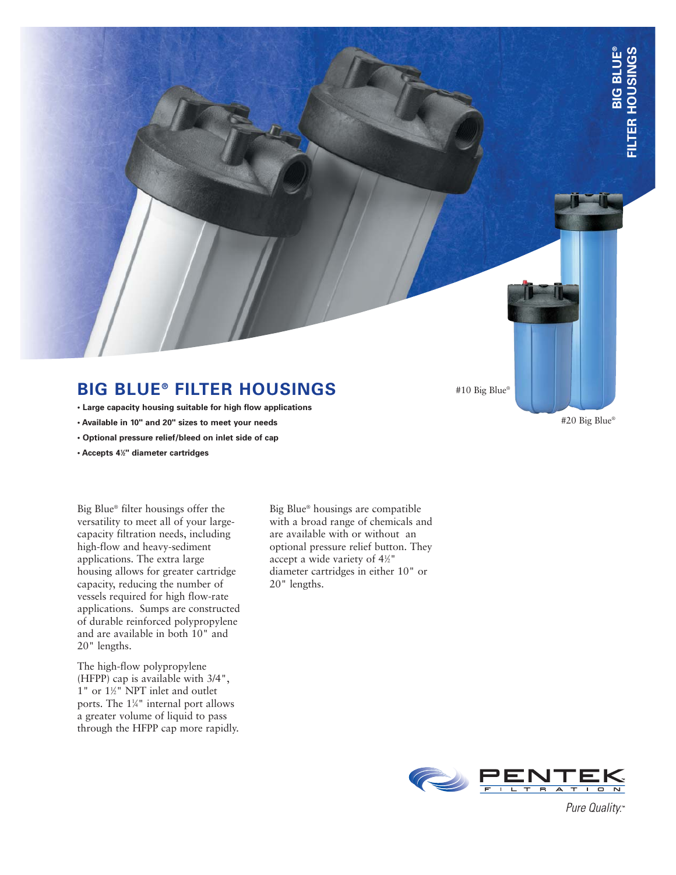

## **BIG BLUE® FILTER HOUSINGS**

- **Large capacity housing suitable for high flow applications**
- **Available in 10" and 20" sizes to meet your needs**
- **Optional pressure relief/bleed on inlet side of cap**

**• Accepts 41 ⁄2" diameter cartridges**

Big Blue® filter housings offer the versatility to meet all of your largecapacity filtration needs, including high-flow and heavy-sediment applications. The extra large housing allows for greater cartridge capacity, reducing the number of vessels required for high flow-rate applications. Sumps are constructed of durable reinforced polypropylene and are available in both 10" and 20" lengths.

The high-flow polypropylene (HFPP) cap is available with 3/4", 1" or 1<sup>1</sup>/<sub>2</sub>" NPT inlet and outlet ports. The 1<sup>1/4</sup>" internal port allows a greater volume of liquid to pass through the HFPP cap more rapidly. Big Blue® housings are compatible with a broad range of chemicals and are available with or without an optional pressure relief button. They accept a wide variety of 41 ⁄2" diameter cartridges in either 10" or 20" lengths.

**O PENTEK** 

Pure Quality.™

#10 Big Blue®

#20 Big Blue®